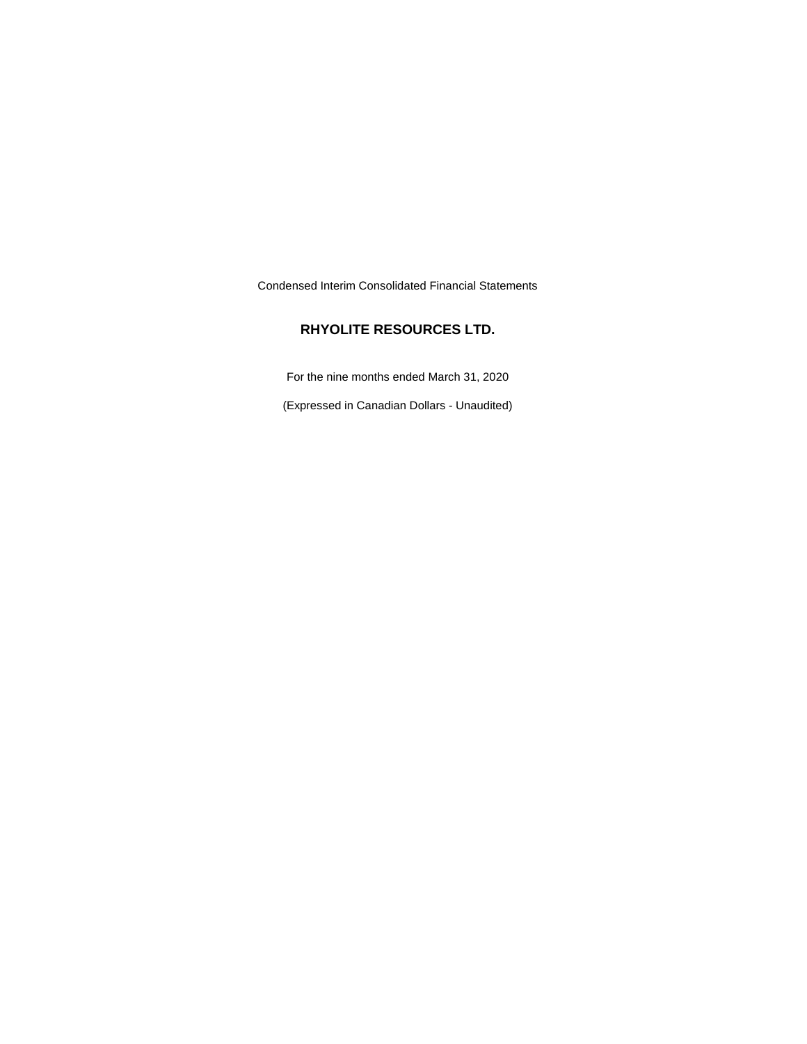Condensed Interim Consolidated Financial Statements

## **RHYOLITE RESOURCES LTD.**

For the nine months ended March 31, 2020

(Expressed in Canadian Dollars - Unaudited)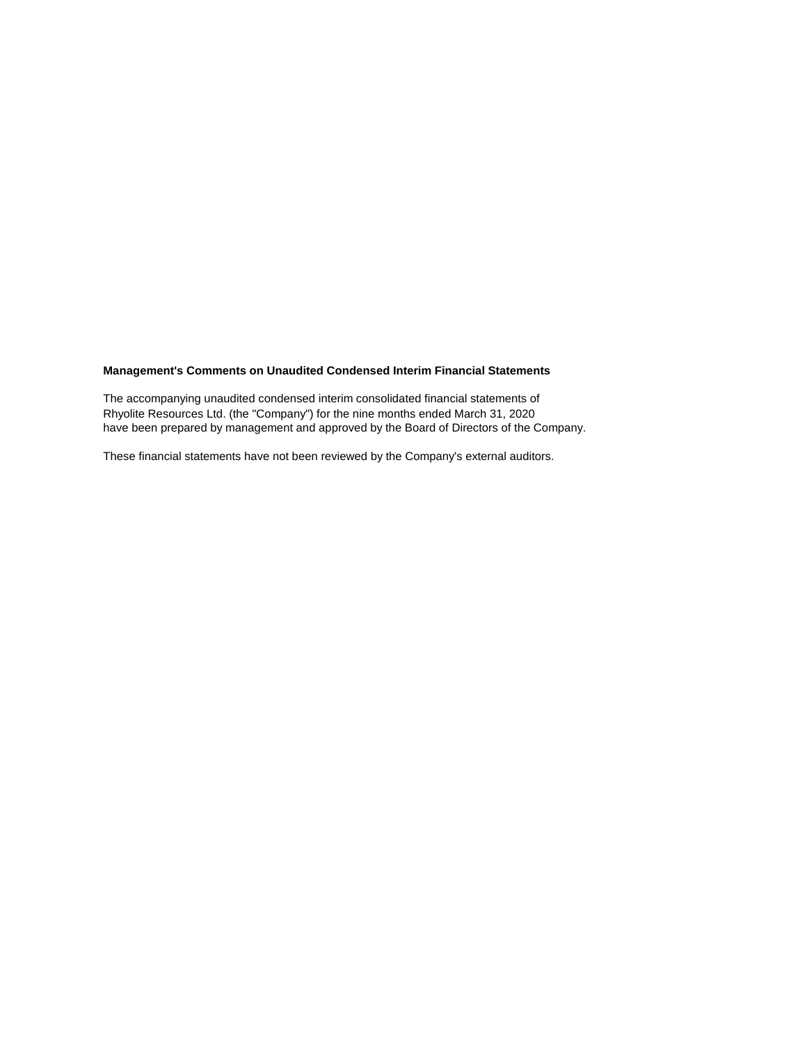## **Management's Comments on Unaudited Condensed Interim Financial Statements**

The accompanying unaudited condensed interim consolidated financial statements of Rhyolite Resources Ltd. (the "Company") for the nine months ended March 31, 2020 have been prepared by management and approved by the Board of Directors of the Company.

These financial statements have not been reviewed by the Company's external auditors.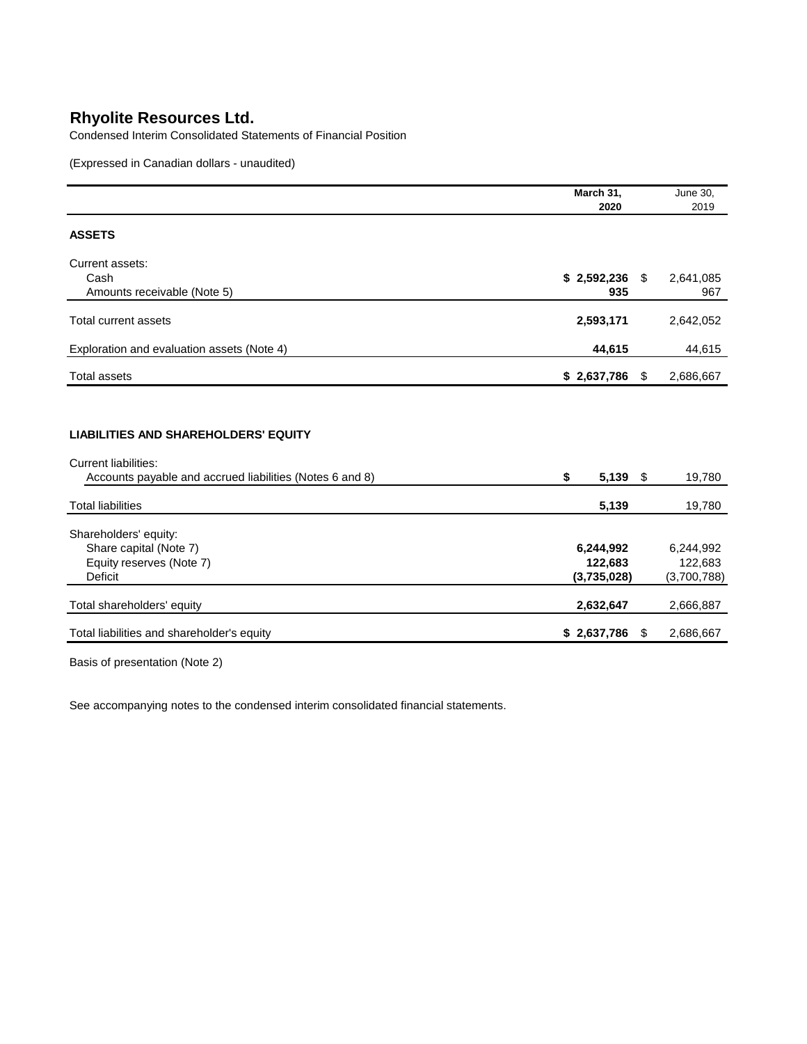Condensed Interim Consolidated Statements of Financial Position

(Expressed in Canadian dollars - unaudited)

|                                                                                                                                        | March 31,                           |    | <b>June 30,</b>                     |
|----------------------------------------------------------------------------------------------------------------------------------------|-------------------------------------|----|-------------------------------------|
|                                                                                                                                        | 2020                                |    | 2019                                |
| <b>ASSETS</b>                                                                                                                          |                                     |    |                                     |
| Current assets:                                                                                                                        |                                     |    |                                     |
| Cash<br>Amounts receivable (Note 5)                                                                                                    | $$2,592,236$ \,<br>935              |    | 2,641,085<br>967                    |
| <b>Total current assets</b>                                                                                                            | 2,593,171                           |    | 2,642,052                           |
| Exploration and evaluation assets (Note 4)                                                                                             | 44,615                              |    | 44,615                              |
| <b>Total assets</b>                                                                                                                    | $$2,637,786$ \;                     |    | 2,686,667                           |
| <b>LIABILITIES AND SHAREHOLDERS' EQUITY</b><br><b>Current liabilities:</b><br>Accounts payable and accrued liabilities (Notes 6 and 8) | \$<br>5,139                         | \$ | 19,780                              |
| <b>Total liabilities</b>                                                                                                               | 5,139                               |    | 19,780                              |
| Shareholders' equity:<br>Share capital (Note 7)<br>Equity reserves (Note 7)<br><b>Deficit</b>                                          | 6,244,992<br>122,683<br>(3,735,028) |    | 6,244,992<br>122,683<br>(3,700,788) |
| Total shareholders' equity                                                                                                             | 2,632,647                           |    | 2,666,887                           |
| Total liabilities and shareholder's equity                                                                                             | \$2,637,786                         | S  | 2,686,667                           |

Basis of presentation (Note 2)

See accompanying notes to the condensed interim consolidated financial statements.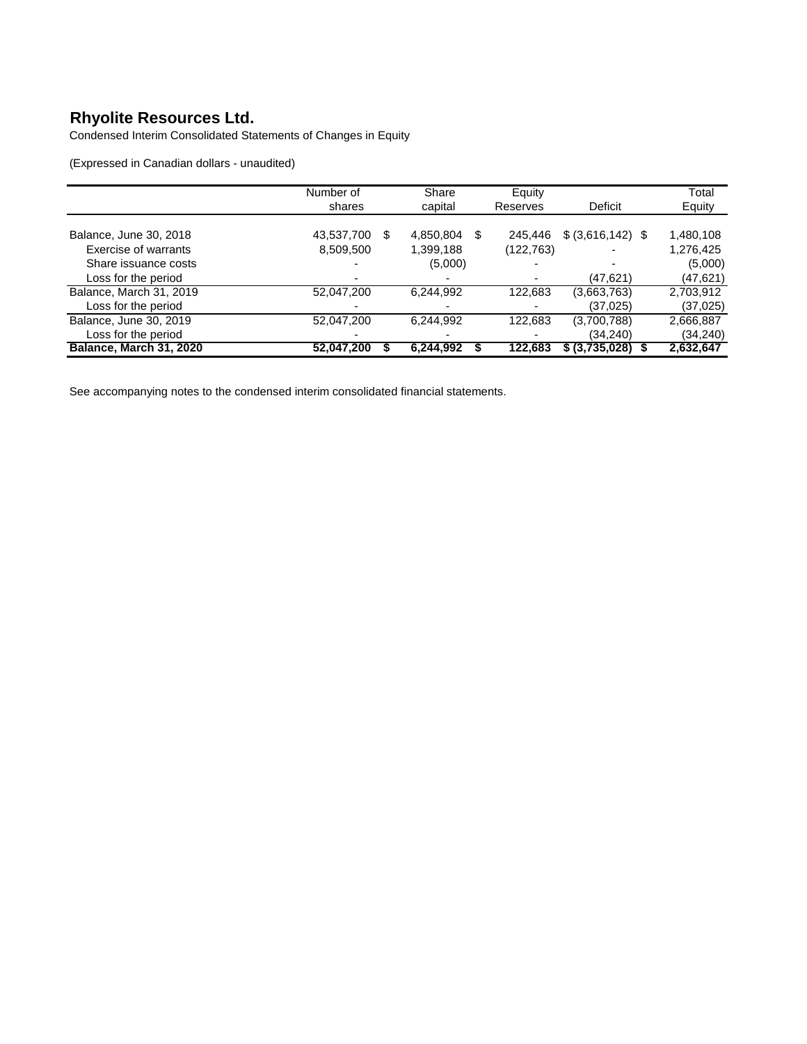Condensed Interim Consolidated Statements of Changes in Equity

(Expressed in Canadian dollars - unaudited)

|                                | Number of       | Share          | Equity    |                    | Total     |
|--------------------------------|-----------------|----------------|-----------|--------------------|-----------|
|                                | shares          | capital        | Reserves  | Deficit            | Equity    |
|                                |                 |                |           |                    |           |
| Balance, June 30, 2018         | 43,537,700<br>S | 4,850,804<br>S | 245,446   | $$ (3,616,142)$ \, | 1,480,108 |
| Exercise of warrants           | 8,509,500       | 1,399,188      | (122,763) |                    | 1,276,425 |
| Share issuance costs           |                 | (5,000)        |           |                    | (5,000)   |
| Loss for the period            |                 |                |           | (47,621)           | (47, 621) |
| Balance, March 31, 2019        | 52,047,200      | 6,244,992      | 122,683   | (3,663,763)        | 2,703,912 |
| Loss for the period            |                 |                |           | (37, 025)          | (37,025)  |
| Balance, June 30, 2019         | 52,047,200      | 6,244,992      | 122,683   | (3,700,788)        | 2,666,887 |
| Loss for the period            | -               |                |           | (34, 240)          | (34,240)  |
| <b>Balance, March 31, 2020</b> | 52,047,200      | 6.244.992      | 122.683   | \$ (3,735,028)     | 2,632,647 |

See accompanying notes to the condensed interim consolidated financial statements.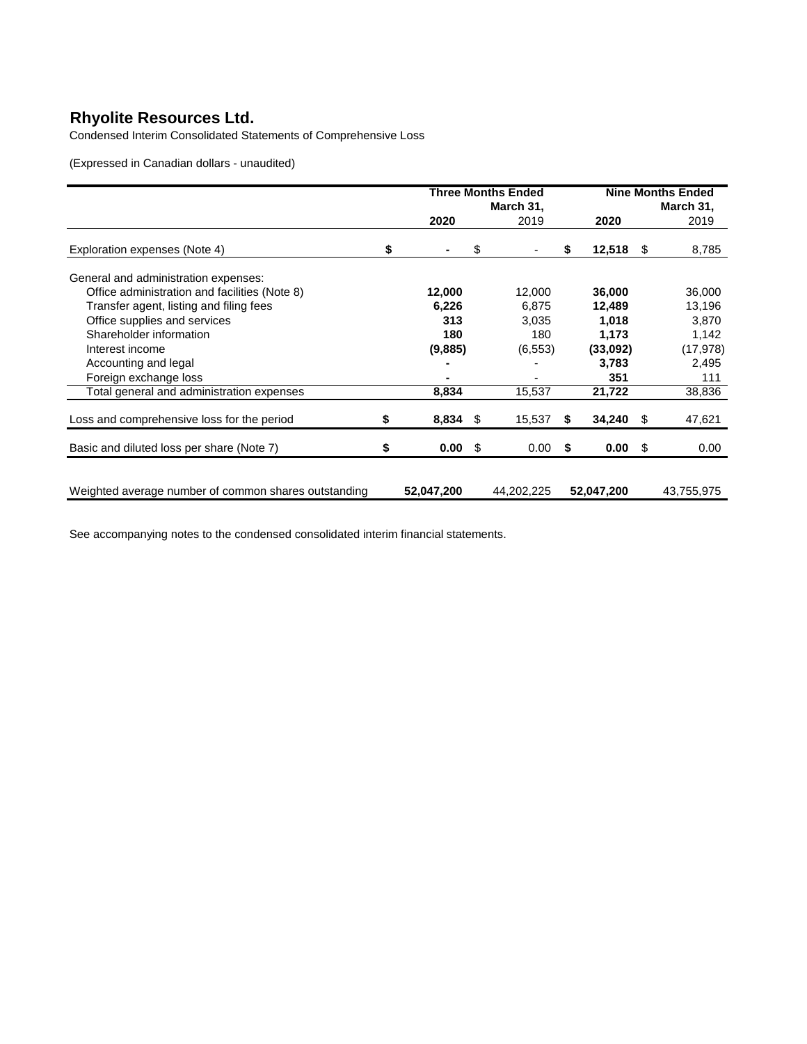Condensed Interim Consolidated Statements of Comprehensive Loss

(Expressed in Canadian dollars - unaudited)

|                                                      |           | Three Months Ended |    | <b>Nine Months Ended</b> |           |            |   |            |
|------------------------------------------------------|-----------|--------------------|----|--------------------------|-----------|------------|---|------------|
|                                                      | March 31, |                    |    |                          | March 31, |            |   |            |
|                                                      |           | 2020               |    | 2019                     |           | 2020       |   | 2019       |
| Exploration expenses (Note 4)                        | S         |                    | \$ |                          | \$        | 12,518     | S | 8,785      |
| General and administration expenses:                 |           |                    |    |                          |           |            |   |            |
| Office administration and facilities (Note 8)        |           | 12,000             |    | 12,000                   |           | 36,000     |   | 36,000     |
| Transfer agent, listing and filing fees              |           | 6,226              |    | 6,875                    |           | 12,489     |   | 13,196     |
| Office supplies and services                         |           | 313                |    | 3,035                    |           | 1,018      |   | 3.870      |
| Shareholder information                              |           | 180                |    | 180                      |           | 1,173      |   | 1,142      |
| Interest income                                      |           | (9,885)            |    | (6, 553)                 |           | (33,092)   |   | (17, 978)  |
| Accounting and legal                                 |           |                    |    |                          |           | 3,783      |   | 2,495      |
| Foreign exchange loss                                |           |                    |    |                          |           | 351        |   | 111        |
| Total general and administration expenses            |           | 8,834              |    | 15,537                   |           | 21,722     |   | 38,836     |
| Loss and comprehensive loss for the period           | \$        | $8,834$ \$         |    | 15,537                   | S         | 34,240     | S | 47,621     |
| Basic and diluted loss per share (Note 7)            | \$        | 0.00               | \$ | 0.00                     | \$        | 0.00       | S | 0.00       |
|                                                      |           |                    |    |                          |           |            |   |            |
| Weighted average number of common shares outstanding |           | 52,047,200         |    | 44,202,225               |           | 52,047,200 |   | 43,755,975 |

See accompanying notes to the condensed consolidated interim financial statements.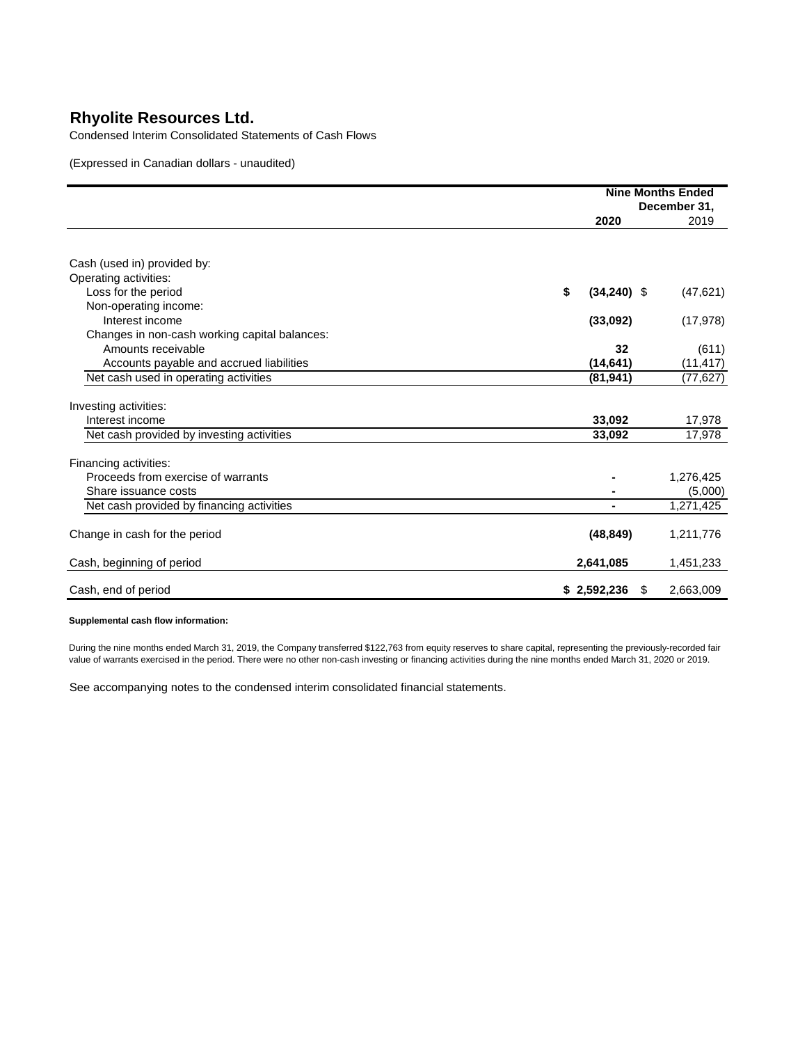Condensed Interim Consolidated Statements of Cash Flows

(Expressed in Canadian dollars - unaudited)

|                                               |                     | <b>Nine Months Ended</b> |
|-----------------------------------------------|---------------------|--------------------------|
|                                               |                     | December 31,             |
|                                               | 2020                | 2019                     |
| Cash (used in) provided by:                   |                     |                          |
| Operating activities:                         |                     |                          |
| Loss for the period                           | \$<br>$(34,240)$ \$ | (47, 621)                |
| Non-operating income:                         |                     |                          |
| Interest income                               | (33,092)            | (17, 978)                |
| Changes in non-cash working capital balances: |                     |                          |
| Amounts receivable                            | 32                  | (611)                    |
| Accounts payable and accrued liabilities      | (14, 641)           | (11, 417)                |
| Net cash used in operating activities         | (81, 941)           | (77, 627)                |
|                                               |                     |                          |
| Investing activities:                         |                     |                          |
| Interest income                               | 33,092              | 17,978                   |
| Net cash provided by investing activities     | 33,092              | 17,978                   |
| Financing activities:                         |                     |                          |
| Proceeds from exercise of warrants            |                     | 1,276,425                |
| Share issuance costs                          |                     | (5,000)                  |
| Net cash provided by financing activities     |                     | 1,271,425                |
|                                               |                     |                          |
| Change in cash for the period                 | (48, 849)           | 1,211,776                |
| Cash, beginning of period                     | 2,641,085           | 1,451,233                |
| Cash, end of period                           | \$2,592,236<br>S    | 2,663,009                |

#### **Supplemental cash flow information:**

During the nine months ended March 31, 2019, the Company transferred \$122,763 from equity reserves to share capital, representing the previously-recorded fair value of warrants exercised in the period. There were no other non-cash investing or financing activities during the nine months ended March 31, 2020 or 2019.

See accompanying notes to the condensed interim consolidated financial statements.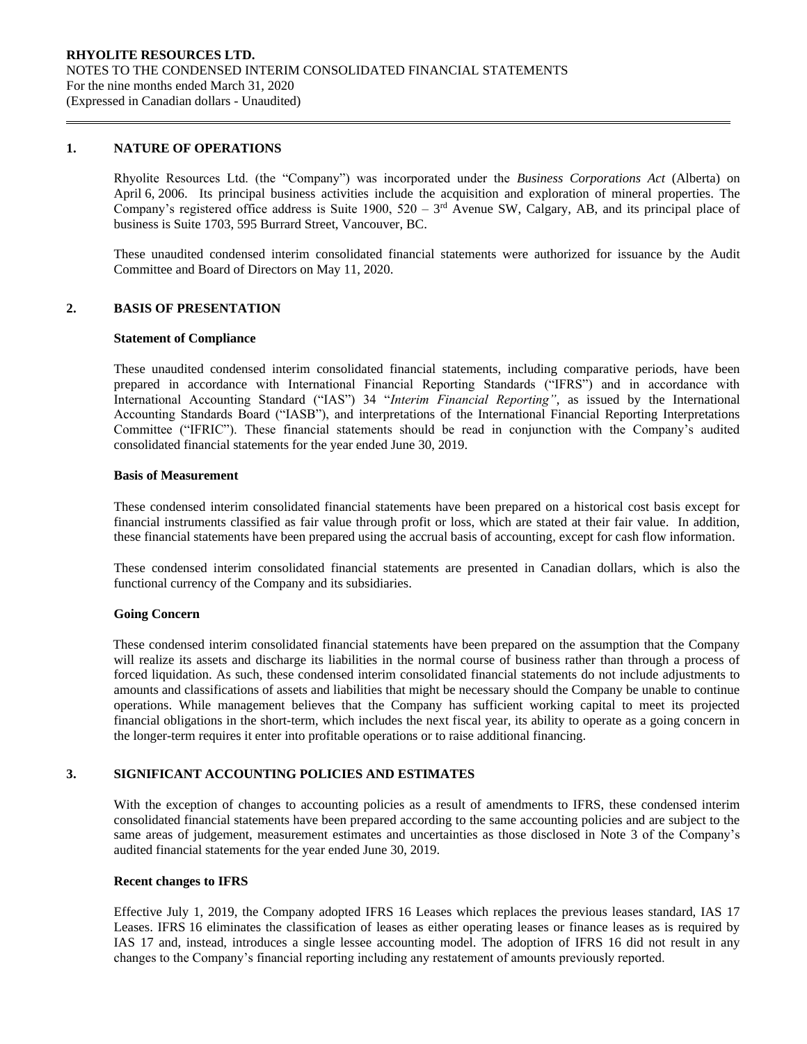#### **1. NATURE OF OPERATIONS**

Rhyolite Resources Ltd. (the "Company") was incorporated under the *Business Corporations Act* (Alberta) on April 6, 2006. Its principal business activities include the acquisition and exploration of mineral properties. The Company's registered office address is Suite 1900,  $520 - 3<sup>rd</sup>$  Avenue SW, Calgary, AB, and its principal place of business is Suite 1703, 595 Burrard Street, Vancouver, BC.

These unaudited condensed interim consolidated financial statements were authorized for issuance by the Audit Committee and Board of Directors on May 11, 2020.

#### **2. BASIS OF PRESENTATION**

#### **Statement of Compliance**

These unaudited condensed interim consolidated financial statements, including comparative periods, have been prepared in accordance with International Financial Reporting Standards ("IFRS") and in accordance with International Accounting Standard ("IAS") 34 "*Interim Financial Reporting"*, as issued by the International Accounting Standards Board ("IASB"), and interpretations of the International Financial Reporting Interpretations Committee ("IFRIC"). These financial statements should be read in conjunction with the Company's audited consolidated financial statements for the year ended June 30, 2019.

#### **Basis of Measurement**

These condensed interim consolidated financial statements have been prepared on a historical cost basis except for financial instruments classified as fair value through profit or loss, which are stated at their fair value. In addition, these financial statements have been prepared using the accrual basis of accounting, except for cash flow information.

These condensed interim consolidated financial statements are presented in Canadian dollars, which is also the functional currency of the Company and its subsidiaries.

#### **Going Concern**

These condensed interim consolidated financial statements have been prepared on the assumption that the Company will realize its assets and discharge its liabilities in the normal course of business rather than through a process of forced liquidation. As such, these condensed interim consolidated financial statements do not include adjustments to amounts and classifications of assets and liabilities that might be necessary should the Company be unable to continue operations. While management believes that the Company has sufficient working capital to meet its projected financial obligations in the short-term, which includes the next fiscal year, its ability to operate as a going concern in the longer-term requires it enter into profitable operations or to raise additional financing.

## **3. SIGNIFICANT ACCOUNTING POLICIES AND ESTIMATES**

With the exception of changes to accounting policies as a result of amendments to IFRS, these condensed interim consolidated financial statements have been prepared according to the same accounting policies and are subject to the same areas of judgement, measurement estimates and uncertainties as those disclosed in Note 3 of the Company's audited financial statements for the year ended June 30, 2019.

#### **Recent changes to IFRS**

Effective July 1, 2019, the Company adopted IFRS 16 Leases which replaces the previous leases standard, IAS 17 Leases. IFRS 16 eliminates the classification of leases as either operating leases or finance leases as is required by IAS 17 and, instead, introduces a single lessee accounting model. The adoption of IFRS 16 did not result in any changes to the Company's financial reporting including any restatement of amounts previously reported.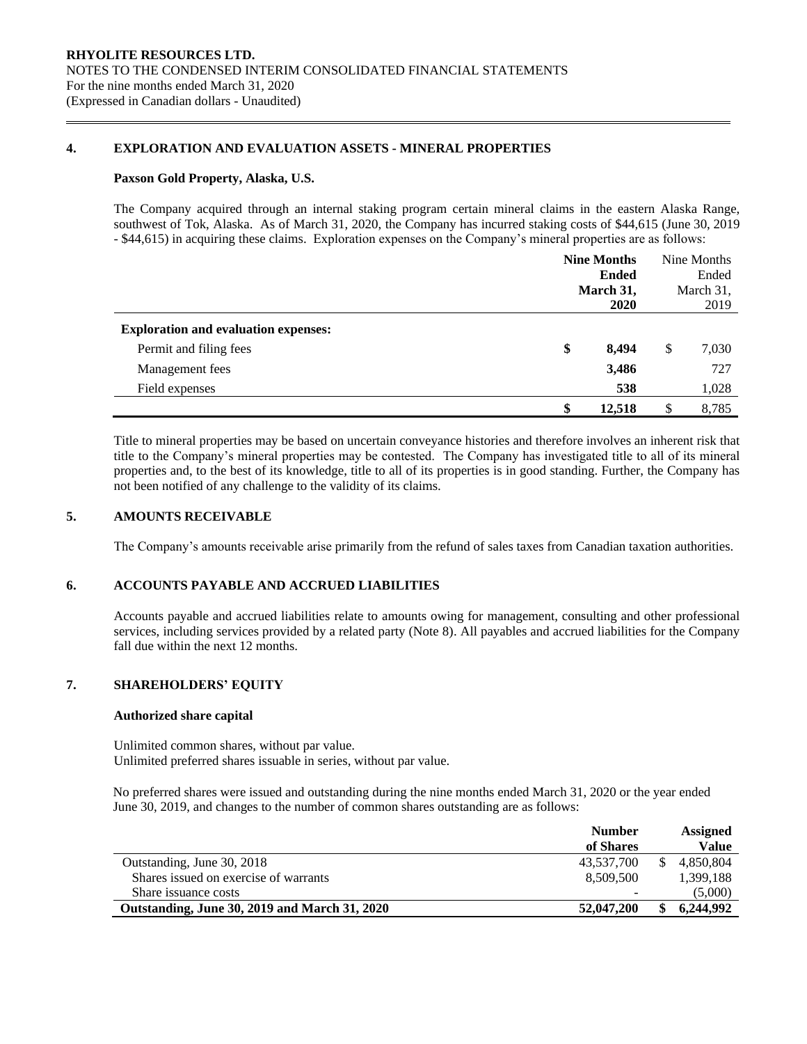### **4. EXPLORATION AND EVALUATION ASSETS - MINERAL PROPERTIES**

#### **Paxson Gold Property, Alaska, U.S.**

The Company acquired through an internal staking program certain mineral claims in the eastern Alaska Range, southwest of Tok, Alaska. As of March 31, 2020, the Company has incurred staking costs of \$44,615 (June 30, 2019 - \$44,615) in acquiring these claims. Exploration expenses on the Company's mineral properties are as follows:

|                                             |    | <b>Nine Months</b><br><b>Ended</b> |    | Nine Months |  |  |
|---------------------------------------------|----|------------------------------------|----|-------------|--|--|
|                                             |    |                                    |    | Ended       |  |  |
|                                             |    | March 31,                          |    | March 31,   |  |  |
|                                             |    | <b>2020</b>                        |    | 2019        |  |  |
| <b>Exploration and evaluation expenses:</b> |    |                                    |    |             |  |  |
| Permit and filing fees                      | \$ | 8,494                              | \$ | 7,030       |  |  |
| Management fees                             |    | 3,486                              |    | 727         |  |  |
| Field expenses                              |    | 538                                |    | 1,028       |  |  |
|                                             | \$ | 12,518                             | S  | 8,785       |  |  |

Title to mineral properties may be based on uncertain conveyance histories and therefore involves an inherent risk that title to the Company's mineral properties may be contested. The Company has investigated title to all of its mineral properties and, to the best of its knowledge, title to all of its properties is in good standing. Further, the Company has not been notified of any challenge to the validity of its claims.

### **5. AMOUNTS RECEIVABLE**

The Company's amounts receivable arise primarily from the refund of sales taxes from Canadian taxation authorities.

### **6. ACCOUNTS PAYABLE AND ACCRUED LIABILITIES**

Accounts payable and accrued liabilities relate to amounts owing for management, consulting and other professional services, including services provided by a related party (Note 8). All payables and accrued liabilities for the Company fall due within the next 12 months.

## **7. SHAREHOLDERS' EQUITY**

#### **Authorized share capital**

Unlimited common shares, without par value. Unlimited preferred shares issuable in series, without par value.

No preferred shares were issued and outstanding during the nine months ended March 31, 2020 or the year ended June 30, 2019, and changes to the number of common shares outstanding are as follows:

|                                               | <b>Number</b> | Assigned     |
|-----------------------------------------------|---------------|--------------|
|                                               | of Shares     | <b>Value</b> |
| Outstanding, June 30, 2018                    | 43.537.700    | 4.850.804    |
| Shares issued on exercise of warrants         | 8.509.500     | 1,399,188    |
| Share issuance costs                          |               | (5,000)      |
| Outstanding, June 30, 2019 and March 31, 2020 | 52,047,200    | 6,244,992    |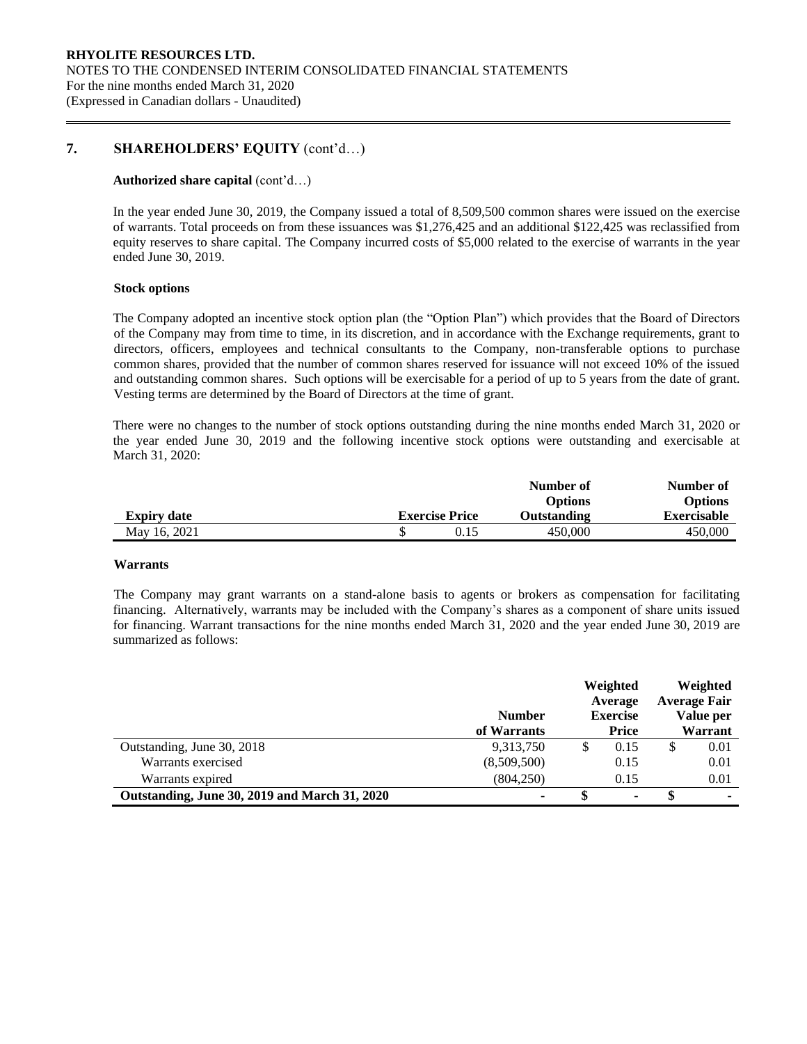## **7. SHAREHOLDERS' EQUITY** (cont'd…)

#### **Authorized share capital** (cont'd…)

In the year ended June 30, 2019, the Company issued a total of 8,509,500 common shares were issued on the exercise of warrants. Total proceeds on from these issuances was \$1,276,425 and an additional \$122,425 was reclassified from equity reserves to share capital. The Company incurred costs of \$5,000 related to the exercise of warrants in the year ended June 30, 2019.

#### **Stock options**

The Company adopted an incentive stock option plan (the "Option Plan") which provides that the Board of Directors of the Company may from time to time, in its discretion, and in accordance with the Exchange requirements, grant to directors, officers, employees and technical consultants to the Company, non-transferable options to purchase common shares, provided that the number of common shares reserved for issuance will not exceed 10% of the issued and outstanding common shares. Such options will be exercisable for a period of up to 5 years from the date of grant. Vesting terms are determined by the Board of Directors at the time of grant.

There were no changes to the number of stock options outstanding during the nine months ended March 31, 2020 or the year ended June 30, 2019 and the following incentive stock options were outstanding and exercisable at March 31, 2020:

|                    |                       | Number of      | Number of      |
|--------------------|-----------------------|----------------|----------------|
|                    |                       | <b>Options</b> | <b>Options</b> |
| <b>Expiry date</b> | <b>Exercise Price</b> | Outstanding    | Exercisable    |
| May 16, 2021       |                       | 450,000        | 450,000        |

#### **Warrants**

The Company may grant warrants on a stand-alone basis to agents or brokers as compensation for facilitating financing. Alternatively, warrants may be included with the Company's shares as a component of share units issued for financing. Warrant transactions for the nine months ended March 31, 2020 and the year ended June 30, 2019 are summarized as follows:

|                                               | <b>Number</b><br>of Warrants | Weighted<br>Average<br><b>Exercise</b><br><b>Price</b> |   | Weighted<br><b>Average Fair</b><br>Value per<br>Warrant |
|-----------------------------------------------|------------------------------|--------------------------------------------------------|---|---------------------------------------------------------|
| Outstanding, June 30, 2018                    | 9,313,750                    | \$<br>0.15                                             | S | 0.01                                                    |
| Warrants exercised                            | (8,509,500)                  | 0.15                                                   |   | 0.01                                                    |
| Warrants expired                              | (804, 250)                   | 0.15                                                   |   | 0.01                                                    |
| Outstanding, June 30, 2019 and March 31, 2020 | ۰                            | ٠                                                      |   |                                                         |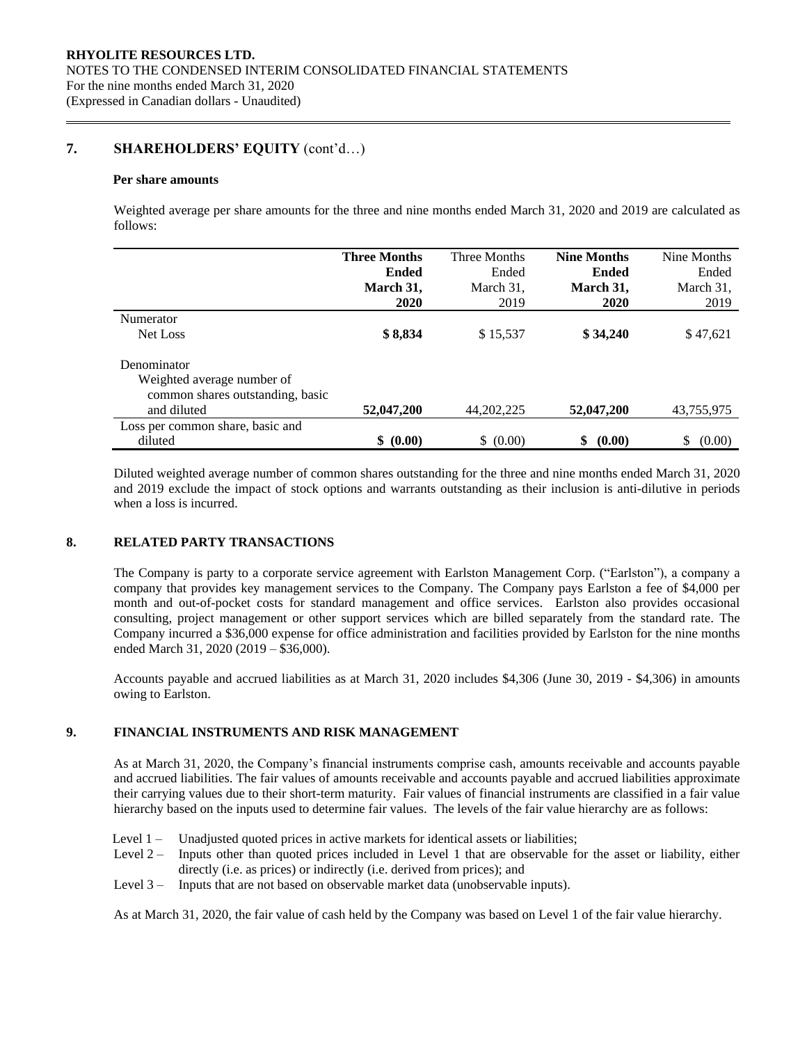## **7. SHAREHOLDERS' EQUITY** (cont'd…)

#### **Per share amounts**

Weighted average per share amounts for the three and nine months ended March 31, 2020 and 2019 are calculated as follows:

|                                  | <b>Three Months</b> | Three Months | <b>Nine Months</b> | Nine Months  |
|----------------------------------|---------------------|--------------|--------------------|--------------|
|                                  | <b>Ended</b>        | Ended        | <b>Ended</b>       | Ended        |
|                                  | March 31,           | March 31,    | March 31,          | March 31,    |
|                                  | <b>2020</b>         | 2019         | <b>2020</b>        | 2019         |
| Numerator                        |                     |              |                    |              |
| Net Loss                         | \$8,834             | \$15,537     | \$34,240           | \$47,621     |
| Denominator                      |                     |              |                    |              |
| Weighted average number of       |                     |              |                    |              |
| common shares outstanding, basic |                     |              |                    |              |
| and diluted                      | 52,047,200          | 44, 202, 225 | 52,047,200         | 43,755,975   |
| Loss per common share, basic and |                     |              |                    |              |
| diluted                          | \$ (0.00)           | \$ (0.00)    | \$<br>(0.00)       | \$<br>(0.00) |

Diluted weighted average number of common shares outstanding for the three and nine months ended March 31, 2020 and 2019 exclude the impact of stock options and warrants outstanding as their inclusion is anti-dilutive in periods when a loss is incurred.

### **8. RELATED PARTY TRANSACTIONS**

The Company is party to a corporate service agreement with Earlston Management Corp. ("Earlston"), a company a company that provides key management services to the Company. The Company pays Earlston a fee of \$4,000 per month and out-of-pocket costs for standard management and office services. Earlston also provides occasional consulting, project management or other support services which are billed separately from the standard rate. The Company incurred a \$36,000 expense for office administration and facilities provided by Earlston for the nine months ended March 31, 2020 (2019 – \$36,000).

Accounts payable and accrued liabilities as at March 31, 2020 includes \$4,306 (June 30, 2019 - \$4,306) in amounts owing to Earlston.

## **9. FINANCIAL INSTRUMENTS AND RISK MANAGEMENT**

As at March 31, 2020, the Company's financial instruments comprise cash, amounts receivable and accounts payable and accrued liabilities. The fair values of amounts receivable and accounts payable and accrued liabilities approximate their carrying values due to their short-term maturity. Fair values of financial instruments are classified in a fair value hierarchy based on the inputs used to determine fair values. The levels of the fair value hierarchy are as follows:

- Level 1 Unadjusted quoted prices in active markets for identical assets or liabilities;
- Level 2 Inputs other than quoted prices included in Level 1 that are observable for the asset or liability, either directly (i.e. as prices) or indirectly (i.e. derived from prices); and
- Level 3 Inputs that are not based on observable market data (unobservable inputs).

As at March 31, 2020, the fair value of cash held by the Company was based on Level 1 of the fair value hierarchy.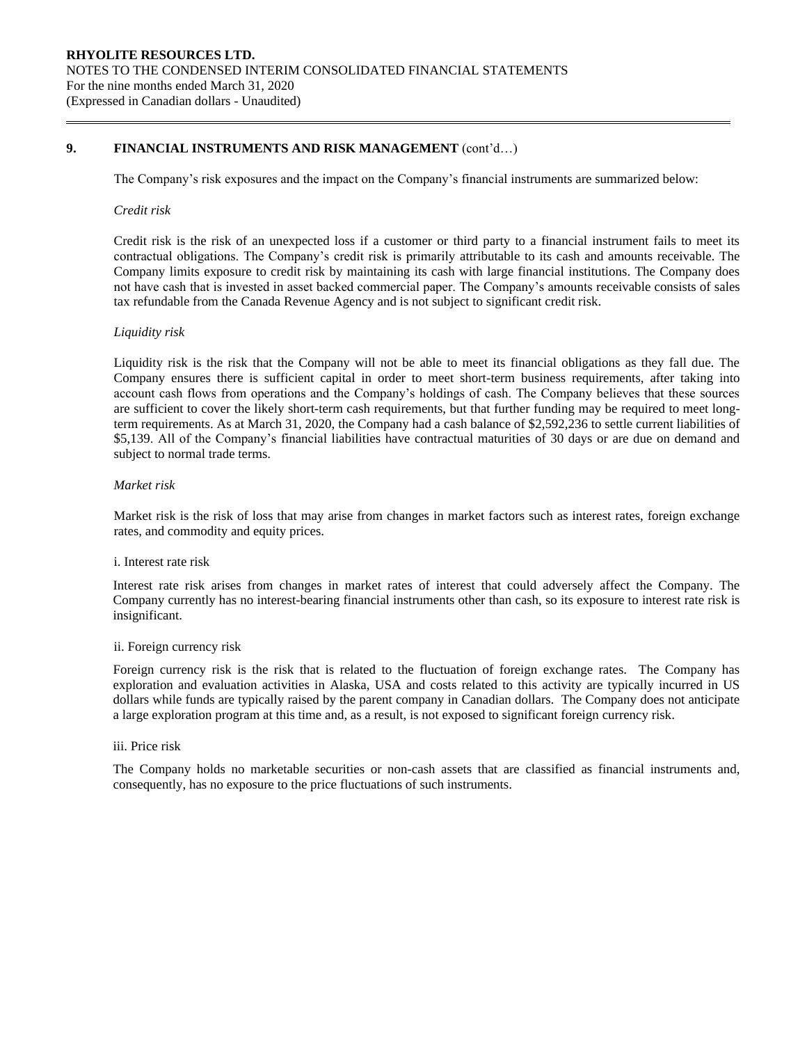## **9. FINANCIAL INSTRUMENTS AND RISK MANAGEMENT** (cont'd…)

The Company's risk exposures and the impact on the Company's financial instruments are summarized below:

#### *Credit risk*

Credit risk is the risk of an unexpected loss if a customer or third party to a financial instrument fails to meet its contractual obligations. The Company's credit risk is primarily attributable to its cash and amounts receivable. The Company limits exposure to credit risk by maintaining its cash with large financial institutions. The Company does not have cash that is invested in asset backed commercial paper. The Company's amounts receivable consists of sales tax refundable from the Canada Revenue Agency and is not subject to significant credit risk.

#### *Liquidity risk*

Liquidity risk is the risk that the Company will not be able to meet its financial obligations as they fall due. The Company ensures there is sufficient capital in order to meet short-term business requirements, after taking into account cash flows from operations and the Company's holdings of cash. The Company believes that these sources are sufficient to cover the likely short-term cash requirements, but that further funding may be required to meet longterm requirements. As at March 31, 2020, the Company had a cash balance of \$2,592,236 to settle current liabilities of \$5,139. All of the Company's financial liabilities have contractual maturities of 30 days or are due on demand and subject to normal trade terms.

#### *Market risk*

Market risk is the risk of loss that may arise from changes in market factors such as interest rates, foreign exchange rates, and commodity and equity prices.

#### i. Interest rate risk

Interest rate risk arises from changes in market rates of interest that could adversely affect the Company. The Company currently has no interest-bearing financial instruments other than cash, so its exposure to interest rate risk is insignificant.

#### ii. Foreign currency risk

Foreign currency risk is the risk that is related to the fluctuation of foreign exchange rates. The Company has exploration and evaluation activities in Alaska, USA and costs related to this activity are typically incurred in US dollars while funds are typically raised by the parent company in Canadian dollars. The Company does not anticipate a large exploration program at this time and, as a result, is not exposed to significant foreign currency risk.

#### iii. Price risk

The Company holds no marketable securities or non-cash assets that are classified as financial instruments and, consequently, has no exposure to the price fluctuations of such instruments.